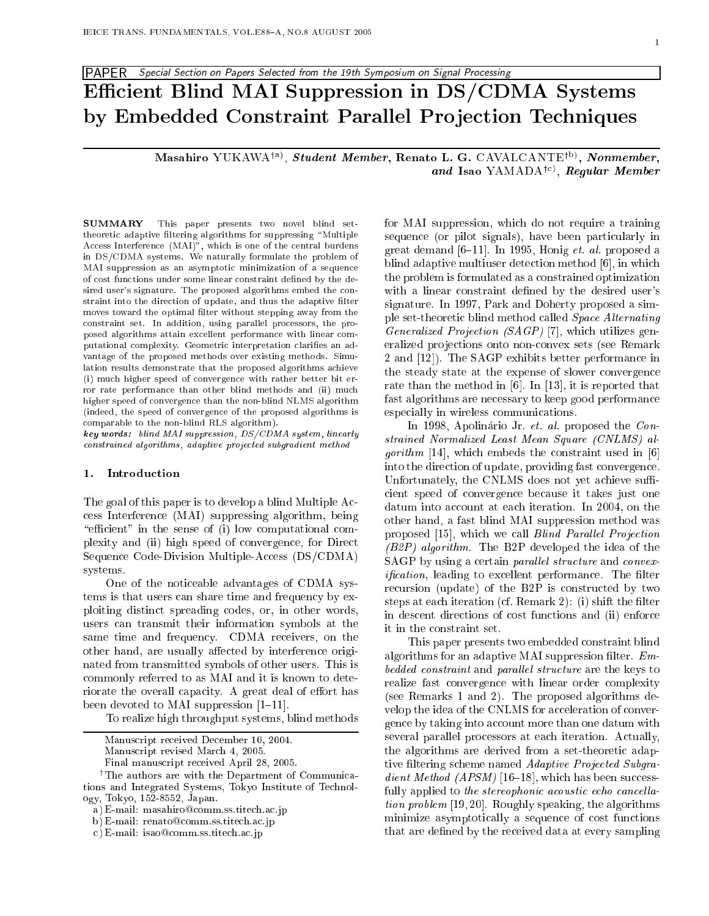# PAPER Special Section on Papers Selected from the 19th Symposium on Signal Processing Efficient Blind MAI Suppression in DS/CDMA Systems by Embedded Constraint Parallel Projection Techniques

Masahiro YUKAWA<sup>†a)</sup>, Student Member, Renato L. G. CAVALCANTE<sup>†b)</sup>, Nonmember, and Isao YAMADA<sup>†c)</sup>, Regular Member

**SUMMARY** This paper presents two novel blind settheoretic adaptive filtering algorithms for suppressing "Multiple Access Interference (MAI)", which is one of the central burdens in DS/CDMA systems. We naturally formulate the problem of MAI suppression as an asymptotic minimization of a sequence of cost functions under some linear constraint defined by the desired user's signature. The proposed algorithms embed the constraint into the direction of update, and thus the adaptive filter moves toward the optimal filter without stepping away from the constraint set. In addition, using parallel processors, the proposed algorithms attain excellent performance with linear computational complexity. Geometric interpretation clarifies an advantage of the proposed methods over existing methods. Simulation results demonstrate that the proposed algorithms achieve (i) much higher speed of convergence with rather better bit error rate performance than other blind methods and (ii) much higher speed of convergence than the non-blind NLMS algorithm (indeed, the speed of convergence of the proposed algorithms is comparable to the non-blind RLS algorithm).

key words: blind MAI suppression, DS/CDMA system, linearly constrained algorithms, adaptive projected subgradient method

#### 1. Introduction

The goal of this paper is to develop a blind Multiple Access Interference (MAI) suppressing algorithm, being "efficient" in the sense of (i) low computational complexity and (ii) high speed of convergence, for Direct Sequence Code-Division Multiple-Access (DS/CDMA) systems.

One of the noticeable advantages of CDMA systems is that users can share time and frequency by exploiting distinct spreading codes, or, in other words, users can transmit their information symbols at the same time and frequency. CDMA receivers, on the other hand, are usually affected by interference originated from transmitted symbols of other users. This is commonly referred to as MAI and it is known to deteriorate the overall capacity. A great deal of effort has been devoted to MAI suppression  $[1-11]$ .

To realize high throughput systems, blind methods

for MAI suppression, which do not require a training sequence (or pilot signals), have been particularly in great demand  $[6-11]$ . In 1995, Honig *et. al.* proposed a blind adaptive multiuser detection method [6], in which the problem is formulated as a constrained optimization with a linear constraint defined by the desired user's signature. In 1997, Park and Doherty proposed a simple set-theoretic blind method called Space Alternating *Generalized Projection (SAGP)* [7], which utilizes generalized projections onto non-convex sets (see Remark 2 and [12]). The SAGP exhibits better performance in the steady state at the expense of slower convergence rate than the method in  $[6]$ . In  $[13]$ , it is reported that fast algorithms are necessary to keep good performance especially in wireless communications.

In 1998, Apolinário Jr. et. al. proposed the Constrained Normalized Least Mean Square (CNLMS) al*gorithm* [14], which embeds the constraint used in [6] into the direction of update, providing fast convergence. Unfortunately, the CNLMS does not yet achieve sufficient speed of convergence because it takes just one datum into account at each iteration. In 2004, on the other hand, a fast blind MAI suppression method was proposed [15], which we call Blind Parallel Projection (B2P) algorithm. The B2P developed the idea of the SAGP by using a certain *parallel structure* and *convexification*, leading to excellent performance. The filter recursion (update) of the B2P is constructed by two steps at each iteration (cf. Remark 2): (i) shift the filter in descent directions of cost functions and (ii) enforce it in the constraint set.

This paper presents two embedded constraint blind algorithms for an adaptive MAI suppression filter.  $Em$ bedded constraint and parallel structure are the keys to realize fast convergence with linear order complexity (see Remarks 1 and 2). The proposed algorithms develop the idea of the CNLMS for acceleration of convergence by taking into account more than one datum with several parallel processors at each iteration. Actually, the algorithms are derived from a set-theoretic adaptive filtering scheme named Adaptive Projected Subgra*dient Method (APSM)* [16–18], which has been successfully applied to the stereophonic acoustic echo cancella*tion problem* [19,20]. Roughly speaking, the algorithms minimize asymptotically a sequence of cost functions that are defined by the received data at every sampling

Manuscript received December 10, 2004.

Manuscript revised March 4, 2005.

Final manuscript received April 28, 2005.

<sup>&</sup>lt;sup>†</sup>The authors are with the Department of Communications and Integrated Systems, Tokyo Institute of Technology, Tokyo, 152-8552, Japan.

a) E-mail: masahiro@comm.ss.titech.ac.jp

b) E-mail: renato@comm.ss.titech.ac.jp

c) E-mail: isao@comm.ss.titech.ac.jp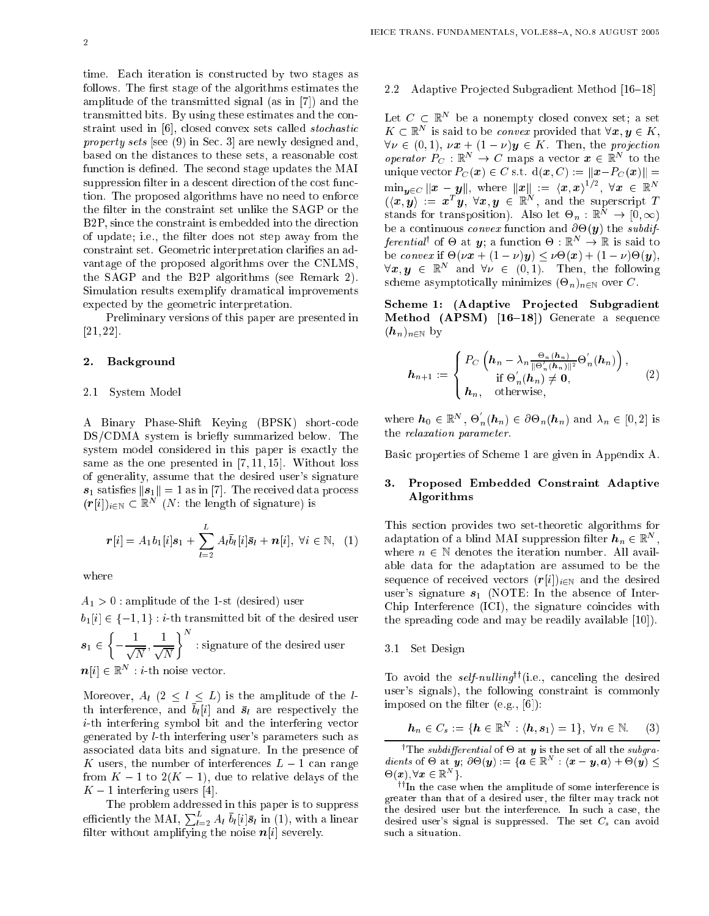time. Each iteration is constructed by two stages as follows. The first stage of the algorithms estimates the amplitude of the transmitted signal (as in [7]) and the transmitted bits. By using these estimates and the constraint used in [6], closed convex sets called *stochastic property sets* [see (9) in Sec. 3] are newly designed and, based on the distances to these sets, a reasonable cost function is defined. The second stage updates the MAI suppression filter in a descent direction of the cost function. The proposed algorithms have no need to enforce the filter in the constraint set unlike the SAGP or the B2P, since the constraint is embedded into the direction of update; i.e., the filter does not step away from the constraint set. Geometric interpretation clarifies an advantage of the proposed algorithms over the CNLMS, the SAGP and the B2P algorithms (see Remark 2). Simulation results exemplify dramatical improvements expected by the geometric interpretation.

Preliminary versions of this paper are presented in  $[21, 22]$ .

### 2. Background

#### 2.1 System Model

A Binary Phase-Shift Keying (BPSK) short-code DS/CDMA system is briefly summarized below. The system model considered in this paper is exactly the same as the one presented in  $[7, 11, 15]$ . Without loss of generality, assume that the desired user's signature  $s_1$  satisfies  $||s_1|| = 1$  as in [7]. The received data process  $(r[i])_{i\in\mathbb{N}}\subset\mathbb{R}^N$  (*N*: the length of signature) is

$$
\boldsymbol{r}[i] = A_1 b_1[i] \boldsymbol{s}_1 + \sum_{l=2}^{L} A_l \bar{b}_l[i] \bar{\boldsymbol{s}}_l + \boldsymbol{n}[i], \ \forall i \in \mathbb{N}, \ (1)
$$

where

$$
A_1 > 0
$$
: amplitude of the 1-st (desired) user\n $b_1[i] \in \{-1, 1\} : i\text{-th transmitted bit of the desired user$ \n $s_1 \in \left\{-\frac{1}{\sqrt{N}}, \frac{1}{\sqrt{N}}\right\}^N$ : signature of the desired user\n $n[i] \in \mathbb{R}^N : i\text{-th noise vector.}$ 

Moreover,  $A_l$   $(2 \leq l \leq L)$  is the amplitude of the *l*th interference, and  $\bar{b}_l[i]$  and  $\bar{s}_l$  are respectively the *i*-th interfering symbol bit and the interfering vector generated by *l*-th interfering user's parameters such as associated data bits and signature. In the presence of K users, the number of interferences  $L-1$  can range from  $K-1$  to  $2(K-1)$ , due to relative delays of the  $K-1$  interfering users [4].

The problem addressed in this paper is to suppress efficiently the MAI,  $\sum_{l=2}^{L} A_l \bar{b}_l[i] \bar{s}_l$  in (1), with a linear<br>filter without amplifying the noise  $n[i]$  severely.

## 2.2 Adaptive Projected Subgradient Method [16-18]

Let  $C \subset \mathbb{R}^N$  be a nonempty closed convex set; a set  $K \subset \mathbb{R}^N$  is said to be *convex* provided that  $\forall x, y \in K$ ,  $\forall \nu \in (0,1), \nu x + (1 - \nu)y \in K$ . Then, the projection<br>operator  $P_C : \mathbb{R}^N \to C$  maps a vector  $x \in \mathbb{R}^N$  to the unique vector  $P_C(x) \in C$  s.t.  $d(x, C) := ||x - P_C(x)|| =$  $\min_{\mathbf{y} \in C} \|\mathbf{x} - \mathbf{y}\|$ , where  $\|\mathbf{x}\| := \langle \mathbf{x}, \mathbf{x} \rangle^{1/2}$ ,  $\forall \mathbf{x} \in \mathbb{R}^N$ <br> $(\langle \mathbf{x}, \mathbf{y} \rangle) := \mathbf{x}^T \mathbf{y}$ ,  $\forall \mathbf{x}, \mathbf{y} \in \mathbb{R}^N$ , and the superscript T stands for transposition). Also let  $\Theta_n : \mathbb{R}^N \to [0, \infty)$ be a continuous *convex* function and  $\partial \Theta(\mathbf{y})$  the *subdif-* $\text{ferential}^{\dagger}$  of  $\Theta$  at  $y$ ; a function  $\Theta : \mathbb{R}^{N} \to \mathbb{R}$  is said to be convex if  $\Theta(\nu x + (1 - \nu)y) \leq \nu \Theta(x) + (1 - \nu)\Theta(y)$ ,  $\forall x, y \in \mathbb{R}^N$  and  $\forall \nu \in (0,1)$ . Then, the following scheme asymptotically minimizes  $(\Theta_n)_{n\in\mathbb{N}}$  over C.

Scheme 1: (Adaptive Projected Subgradient Method (APSM) [16-18]) Generate a sequence  $(h_n)_{n\in\mathbb{N}}$  by

$$
\boldsymbol{h}_{n+1} := \begin{cases} P_C \left( \boldsymbol{h}_n - \lambda_n \frac{\Theta_n(\boldsymbol{h}_n)}{\|\Theta'_n(\boldsymbol{h}_n)\|^2} \Theta'_n(\boldsymbol{h}_n) \right), \\ \text{if } \Theta'_n(\boldsymbol{h}_n) \neq \boldsymbol{0}, \\ \boldsymbol{h}_n, \quad \text{otherwise}, \end{cases} \tag{2}
$$

where  $h_0 \in \mathbb{R}^N$ ,  $\Theta'_n(h_n) \in \partial \Theta_n(h_n)$  and  $\lambda_n \in [0,2]$  is the relaxation parameter.

Basic properties of Scheme 1 are given in Appendix A.

# 3. Proposed Embedded Constraint Adaptive Algorithms

This section provides two set-theoretic algorithms for adaptation of a blind MAI suppression filter  $h_n \in \mathbb{R}^N$ , where  $n \in \mathbb{N}$  denotes the iteration number. All available data for the adaptation are assumed to be the sequence of received vectors  $(r[i])_{i\in\mathbb{N}}$  and the desired user's signature  $s_1$  (NOTE: In the absence of Inter-Chip Interference (ICI), the signature coincides with the spreading code and may be readily available [10].

#### 3.1 Set Design

To avoid the *self-nulling*<sup> $\dagger$ </sup>(i.e., canceling the desired user's signals), the following constraint is commonly imposed on the filter  $(e.g., [6])$ :

$$
\boldsymbol{h}_n \in C_s := \{ \boldsymbol{h} \in \mathbb{R}^N : \langle \boldsymbol{h}, \boldsymbol{s}_1 \rangle = 1 \}, \ \forall n \in \mathbb{N}. \tag{3}
$$

<sup>†</sup>The *subdifferential* of  $\Theta$  at  $\boldsymbol{y}$  is the set of all the *subgra*dients of  $\Theta$  at  $\mathbf{\hat{y}}$ ;  $\partial \Theta(\mathbf{y}) := \{\mathbf{a} \in \mathbb{R}^N : \langle \mathbf{x} - \mathbf{y}, \mathbf{a} \rangle + \Theta(\mathbf{y}) \leq \Theta(\mathbf{y})\}$  $\Theta(\boldsymbol{x}), \forall \boldsymbol{x} \in \mathbb{R}^N$  }.

 $^{\dagger\dagger}\!$  In the case when the amplitude of some interference is greater than that of a desired user, the filter may track not the desired user but the interference. In such a case, the desired user's signal is suppressed. The set  $C_s$  can avoid such a situation.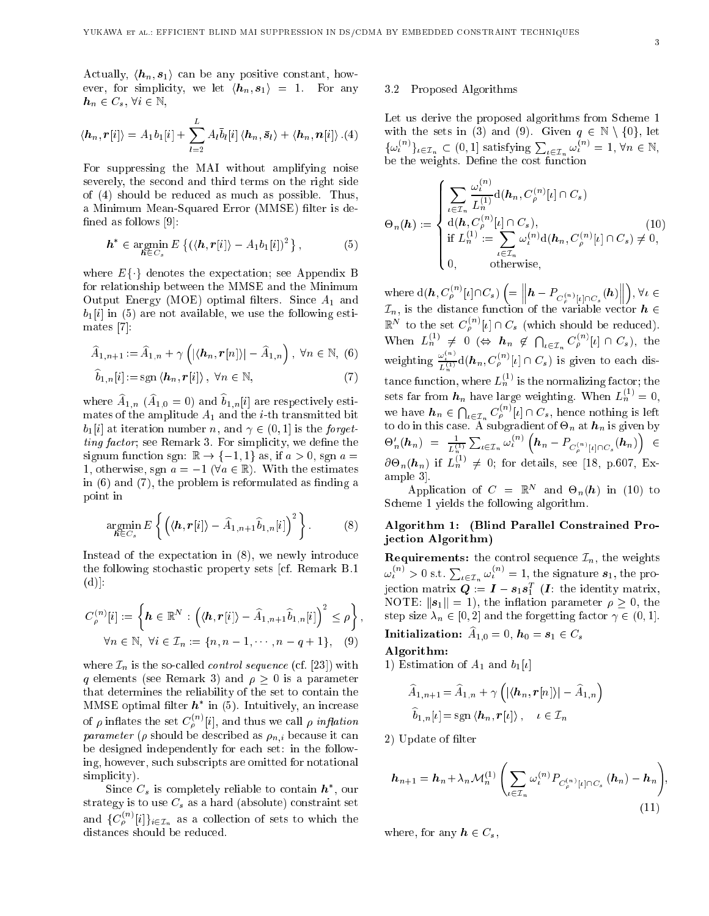Actually,  $\langle h_n, s_1 \rangle$  can be any positive constant, however, for simplicity, we let  $\langle h_n, s_1 \rangle = 1$ . For any  $h_n \in C_s$ ,  $\forall i \in \mathbb{N}$ ,

$$
\langle \boldsymbol{h}_n, \boldsymbol{r}[i] \rangle = A_1 b_1[i] + \sum_{l=2}^{L} A_l \bar{b}_l[i] \langle \boldsymbol{h}_n, \bar{\boldsymbol{s}}_l \rangle + \langle \boldsymbol{h}_n, \boldsymbol{n}[i] \rangle .(4)
$$

For suppressing the MAI without amplifying noise severely, the second and third terms on the right side of (4) should be reduced as much as possible. Thus, a Minimum Mean-Squared Error (MMSE) filter is defined as follows  $[9]$ :

$$
\boldsymbol{h}^* \in \operatorname*{argmin}_{\boldsymbol{h} \in C_s} E\left\{ (\langle \boldsymbol{h}, \boldsymbol{r}[i] \rangle - A_1 b_1[i])^2 \right\},\tag{5}
$$

where  $E\{\cdot\}$  denotes the expectation; see Appendix B for relationship between the MMSE and the Minimum Output Energy (MOE) optimal filters. Since  $A_1$  and  $b_1[i]$  in (5) are not available, we use the following estimates  $[7]$ :

$$
\widehat{A}_{1,n+1} := \widehat{A}_{1,n} + \gamma \left( |\langle \boldsymbol{h}_n, \boldsymbol{r}[n] \rangle| - \widehat{A}_{1,n} \right), \ \forall n \in \mathbb{N}, \ (6)
$$

$$
b_{1,n}[i]:=\operatorname{sgn}\left\langle \boldsymbol{h}_n,\boldsymbol{r}[i]\right\rangle,\ \forall n\in\mathbb{N},\tag{7}
$$

where  $\widehat{A}_{1,n}$  ( $\widehat{A}_{1,0} = 0$ ) and  $\widehat{b}_{1,n}[i]$  are respectively estimates of the amplitude  $A_1$  and the *i*-th transmitted bit  $b_1[i]$  at iteration number n, and  $\gamma \in (0,1]$  is the forget*ting factor*; see Remark 3. For simplicity, we define the signum function sgn:  $\mathbb{R} \to \{-1, 1\}$  as, if  $a > 0$ , sgn  $a =$ 1, otherwise, sgn  $a = -1$  ( $\forall a \in \mathbb{R}$ ). With the estimates in  $(6)$  and  $(7)$ , the problem is reformulated as finding a point in

$$
\underset{\boldsymbol{h}\in C_s}{\operatorname{argmin}} E\left\{ \left( \langle \boldsymbol{h}, \boldsymbol{r}[i] \rangle - \widehat{A}_{1,n+1} \widehat{b}_{1,n}[i] \right)^2 \right\}.
$$
 (8)

Instead of the expectation in  $(8)$ , we newly introduce the following stochastic property sets [cf. Remark B.1]  $(d)$ :

$$
C_{\rho}^{(n)}[i] := \left\{ \boldsymbol{h} \in \mathbb{R}^{N} : \left( \langle \boldsymbol{h}, \boldsymbol{r}[i] \rangle - \widehat{A}_{1,n+1} \widehat{b}_{1,n}[i] \right)^{2} \leq \rho \right\},
$$
  
 
$$
\forall n \in \mathbb{N}, \ \forall i \in \mathcal{I}_{n} := \{ n, n-1, \cdots, n-q+1 \}, \quad (9)
$$

where  $\mathcal{I}_n$  is the so-called *control sequence* (cf. [23]) with q elements (see Remark 3) and  $\rho \geq 0$  is a parameter that determines the reliability of the set to contain the MMSE optimal filter  $h^*$  in (5). Intuitively, an increase of  $\rho$  inflates the set  $C^{(n)}_\rho[i],$  and thus we call  $\rho$   $inflation$ *parameter* ( $\rho$  should be described as  $\rho_{n,i}$  because it can be designed independently for each set: in the following, however, such subscripts are omitted for notational simplicity).

Since  $C_s$  is completely reliable to contain  $h^*$ , our strategy is to use  $C_s$  as a hard (absolute) constraint set and  ${C_{\rho}^{(n)}[i]}_{i\in\mathcal{I}_n}$  as a collection of sets to which the distances should be reduced.

#### 3.2 Proposed Algorithms

Let us derive the proposed algorithms from Scheme 1 with the sets in (3) and (9). Given  $q \in \mathbb{N} \setminus \{0\}$ , let  $\{\omega_{\iota}^{(n)}\}_{{\iota \in \mathcal{I}_n}} \subset (0,1]$  satisfying  $\sum_{{\iota \in \mathcal{I}_n}} \omega_{\iota}^{(n)} = 1$ ,  $\forall n \in \mathbb{N}$ , be the weights. Define the cost function

$$
\Theta_n(\boldsymbol{h}) := \begin{cases}\n\sum_{\iota \in \mathcal{I}_n} \frac{\omega_{\iota}^{(n)}}{L_n^{(1)}} \mathrm{d}(\boldsymbol{h}_n, C_{\rho}^{(n)}[\iota] \cap C_s) \\
\mathrm{d}(\boldsymbol{h}, C_{\rho}^{(n)}[\iota] \cap C_s), \\
\text{if } L_n^{(1)} := \sum_{\iota \in \mathcal{I}_n} \omega_{\iota}^{(n)} \mathrm{d}(\boldsymbol{h}_n, C_{\rho}^{(n)}[\iota] \cap C_s) \neq 0, \\
0, \qquad \text{otherwise,} \n\end{cases} \tag{10}
$$

where  $d(\boldsymbol{h}, C_{\rho}^{(n)}[\iota] \cap C_s)$   $\left( = \left\| \boldsymbol{h} - P_{C_{\rho}^{(n)}[\iota] \cap C_s}(\boldsymbol{h}) \right\| \right), \forall \iota \in \mathcal{I}_n$ , is the distance function of the variable vector  $\boldsymbol{h} \in$  $\mathbb{R}^N$  to the set  $C_{\rho}^{(n)}[\iota] \cap C_s$  (which should be reduced). When  $L_n^{(1)} \neq 0 \iff h_n \notin \bigcap_{\iota \in \mathcal{I}_n} C_{\rho}^{(n)}[\iota] \cap C_s$ , the weighting  $\frac{\omega^{(n)}_t}{L^{(1)}_n}\mathrm{d}(\pmb{h}_n,C^{(n)}_\rho[\iota]\cap C_s)$  is given to each distance function, where  $L_n^{(1)}$  is the normalizing factor; the sets far from  $h_n$  have large weighting. When  $L_n^{(1)} = 0$ , we have  $h_n \in \bigcap_{\iota \in \mathcal{I}_n} C_{\rho}^{(n)}[\iota] \cap C_s$ , hence nothing is left<br>to do in this case. A subgradient of  $\Theta_n$  at  $h_n$  is given by  $\Theta'_n(h_n) = \frac{1}{L_n^{(1)}} \sum_{\iota \in \mathcal{I}_n} \omega_{\iota}^{(n)} \left( h_n - P_{C_{\rho}^{(n)}[\iota] \cap C_s} (h_n) \right) \in \partial \Theta_n(h_n)$  if  $L_n^{(1)} \neq 0$ ; for details, see [18, p.607, Example 3.

Application of  $C = \mathbb{R}^N$  and  $\Theta_n(h)$  in (10) to Scheme 1 yields the following algorithm.

# Algorithm 1: (Blind Parallel Constrained Projection Algorithm)

**Requirements:** the control sequence  $\mathcal{I}_n$ , the weights  $\omega_t^{(n)} > 0$  s.t.  $\sum_{\iota \in \mathcal{I}_n} \omega_t^{(n)} = 1$ , the signature  $s_1$ , the projection matrix  $Q := I - s_1 s_1^T$  (*I*: the identity matrix, NOTE:  $||s_1|| = 1$ , the inflation parameter  $\rho \geq 0$ , the step size  $\lambda_n \in [0,2]$  and the forgetting factor  $\gamma \in (0,1]$ .

Initialization:  $\hat{A}_{1,0} = 0$ ,  $h_0 = s_1 \in C_s$ 

### Algorithm:

1) Estimation of  $A_1$  and  $b_1[i]$ 

$$
\widehat{A}_{1,n+1} = \widehat{A}_{1,n} + \gamma \left( |\langle \boldsymbol{h}_n, \boldsymbol{r}[n] \rangle| - \widehat{A}_{1,n} \right)
$$

$$
\widehat{b}_{1,n}[l] = \text{sgn} \langle \boldsymbol{h}_n, \boldsymbol{r}[l] \rangle, \quad l \in \mathcal{I}_n
$$

2) Update of filter

$$
h_{n+1} = h_n + \lambda_n \mathcal{M}_n^{(1)} \left( \sum_{\iota \in \mathcal{I}_n} \omega_{\iota}^{(n)} P_{C_{\rho}^{(n)}[\iota] \cap C_s} \left( h_n \right) - h_n \right)
$$
\n(11)

where, for any  $h \in C_s$ ,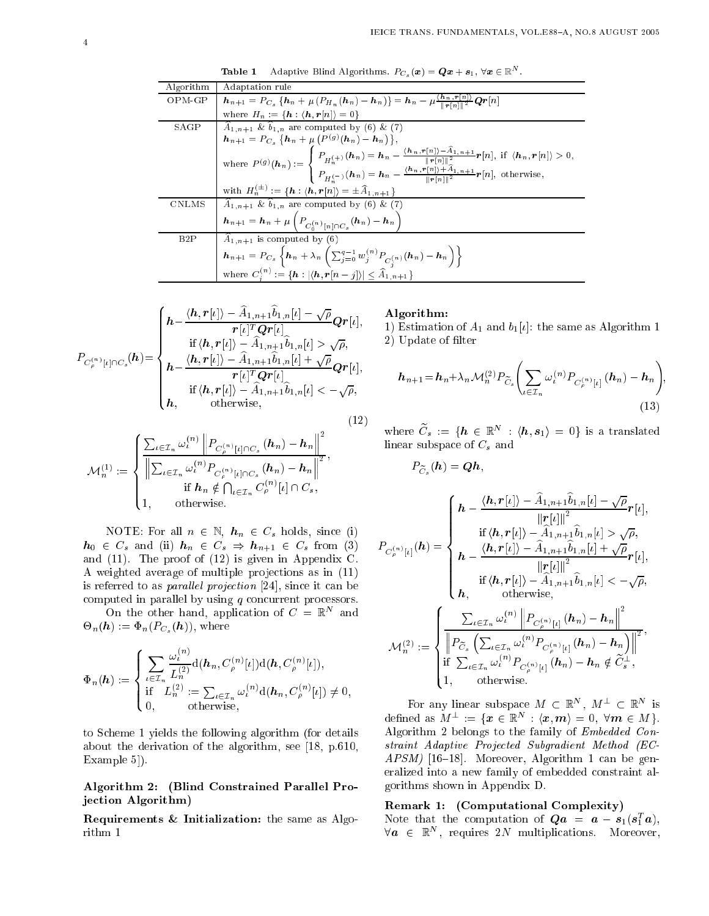| Algorithm | Adaptation rule                                                                                                                                                                                                                                                                                                                                                                                                                                   |
|-----------|---------------------------------------------------------------------------------------------------------------------------------------------------------------------------------------------------------------------------------------------------------------------------------------------------------------------------------------------------------------------------------------------------------------------------------------------------|
| OPM-GP    | $\boldsymbol{h}_{n+1} = P_{C_s} \left\{ \boldsymbol{h}_n + \mu \left( P_{H_n}(\boldsymbol{h}_n) - \boldsymbol{h}_n \right) \right\} = \boldsymbol{h}_n - \mu \frac{\left\langle \boldsymbol{h}_n, \boldsymbol{r}[n] \right\rangle}{\ \boldsymbol{r}[n]\ ^2} \boldsymbol{Q} \boldsymbol{r}[n]$                                                                                                                                                     |
|           | where $H_n := \{ h : \langle h, r[n] \rangle = 0 \}$                                                                                                                                                                                                                                                                                                                                                                                              |
| SAGP      | $A_{1,n+1}$ & $b_{1,n}$ are computed by (6) & (7)                                                                                                                                                                                                                                                                                                                                                                                                 |
|           | $\mathbf{h}_{n+1} = P_{C_s} \{ \mathbf{h}_n + \mu \left( P^{(g)}(\mathbf{h}_n) - \mathbf{h}_n \right) \},$                                                                                                                                                                                                                                                                                                                                        |
|           | where $P^{(g)}(\mathbf{h}_n) := \begin{cases} P_{H_n^{(+)}}(\mathbf{h}_n) = \mathbf{h}_n - \frac{\langle \mathbf{h}_n, \mathbf{r}[n]\rangle - \hat{A}_{1,n+1}}{  \mathbf{r}[n]  ^2} \mathbf{r}[n], & \text{if } \langle \mathbf{h}_n, \mathbf{r}[n]\rangle > 0, \\ P_{H_n^{(-)}}(\mathbf{h}_n) = \mathbf{h}_n - \frac{\langle \mathbf{h}_n, \mathbf{r}[n]\rangle + \hat{A}_{1,n+1}}{  \mathbf{r}[n]  ^2} \mathbf{r}[n], & \text{otherwise,} \end$ |
|           |                                                                                                                                                                                                                                                                                                                                                                                                                                                   |
|           | with $H_n^{(\pm)} := \{ h : \langle h, r[n] \rangle = \pm \widehat{A}_{1,n+1} \}$                                                                                                                                                                                                                                                                                                                                                                 |
| CNLMS     | $\widehat{A}_{1,n+1}$ & $\widehat{b}_{1,n}$ are computed by (6) & (7)                                                                                                                                                                                                                                                                                                                                                                             |
|           | $\boldsymbol{h}_{n+1} = \boldsymbol{h}_n + \mu \left( P_{C^{(n)}_0 \restriction n] \cap C_s}(\boldsymbol{h}_n) - \boldsymbol{h}_n \right)$                                                                                                                                                                                                                                                                                                        |
| B2P       | $A_{1,n+1}$ is computed by (6)                                                                                                                                                                                                                                                                                                                                                                                                                    |
|           | $\boldsymbol{h}_{n+1} = P_{C_s} \left\{ \boldsymbol{h}_{n} + \lambda_n \left( \sum_{j=0}^{q-1} w_j^{(n)} P_{C_i^{(n)}}(\boldsymbol{h}_{n}) - \boldsymbol{h}_{n} \right) \right\}$                                                                                                                                                                                                                                                                 |
|           | where $C_i^{(n)} := {\mathbf{h}:  \langle \mathbf{h}, \mathbf{r}[n-j] \rangle  \leq \widehat{A}_{1,n+1}}$                                                                                                                                                                                                                                                                                                                                         |

**Table 1** Adaptive Blind Algorithms.  $P_{C_s}(\boldsymbol{x}) = \boldsymbol{Q}\boldsymbol{x} + \boldsymbol{s}_1, \ \forall \boldsymbol{x} \in \mathbb{R}^N$ .

$$
P_{C_{\rho}^{(n)}[l]\cap C_{s}}(\boldsymbol{h}) = \begin{cases} \boldsymbol{h} - \frac{\langle \boldsymbol{h}, \boldsymbol{r}[l] \rangle - \hat{A}_{1,n+1} \hat{b}_{1,n}[l] - \sqrt{\rho}}{\boldsymbol{r}[l]^T \boldsymbol{Q} \boldsymbol{r}[l]}, \\ \quad \text{if } \langle \boldsymbol{h}, \boldsymbol{r}[l] \rangle - \hat{A}_{1,n+1} \hat{b}_{1,n}[l] > \sqrt{\rho}, \\ \boldsymbol{h} - \frac{\langle \boldsymbol{h}, \boldsymbol{r}[l] \rangle - \hat{A}_{1,n+1} \hat{b}_{1,n}[l] + \sqrt{\rho}}{\boldsymbol{r}[l]^T \boldsymbol{Q} \boldsymbol{r}[l]}, \\ \quad \text{if } \langle \boldsymbol{h}, \boldsymbol{r}[l] \rangle - \hat{A}_{1,n+1} \hat{b}_{1,n}[l] < -\sqrt{\rho}, \\ \mathbf{h}, \qquad \text{otherwise}, \end{cases} \tag{12}
$$

$$
\mathcal{M}_n^{(1)} := \left\{ \frac{\sum_{\iota \in \mathcal{I}_n} \omega_{\iota}^{(n)} \left\| P_{C_{\rho}^{(n)}[\iota] \cap C_s} \left( \boldsymbol{h}_n \right) - \boldsymbol{h}_n \right\|^2}{\left\| \sum_{\iota \in \mathcal{I}_n} \omega_{\iota}^{(n)} P_{C_{\rho}^{(n)}[\iota] \cap C_s} \left( \boldsymbol{h}_n \right) - \boldsymbol{h}_n \right\|^2}, \right. \\ \text{if } \boldsymbol{h}_n \notin \bigcap_{\iota \in \mathcal{I}_n} C_{\rho}^{(n)}[\iota] \cap C_s, \\ 1, \qquad \text{otherwise.}
$$

NOTE: For all  $n \in \mathbb{N}$ ,  $h_n \in C_s$  holds, since (i)  $h_0 \in C_s$  and (ii)  $h_n \in C_s \Rightarrow h_{n+1} \in C_s$  from (3) and (11). The proof of (12) is given in Appendix C. A weighted average of multiple projections as in  $(11)$ is referred to as *parallel projection* [24], since it can be computed in parallel by using  $q$  concurrent processors.

On the other hand, application of  $C = \mathbb{R}^N$  and  $\Theta_n(\boldsymbol{h}) := \Phi_n(P_{C_s}(\boldsymbol{h})),$  where

$$
\Phi_n(\boldsymbol{h}) := \begin{cases} \sum_{\iota \in \mathcal{I}_n} \frac{\omega_{\iota}^{(n)}}{L_n^{(2)}} \mathrm{d}(\boldsymbol{h}_n, C^{(n)}_\rho[\iota]) \mathrm{d}(\boldsymbol{h}, C^{(n)}_\rho[\iota]), \\ \text{if} \quad L_n^{(2)} := \sum_{\iota \in \mathcal{I}_n} \omega_{\iota}^{(n)} \mathrm{d}(\boldsymbol{h}_n, C^{(n)}_\rho[\iota]) \neq 0, \\ 0, \qquad \text{otherwise}, \end{cases}
$$

to S
heme 1 yields the following algorithm (for details about the derivation of the algorithm, see [18, p.610, Example  $5$ .

### Algorithm 2: (Blind Constrained Parallel Projection Algorithm)

Requirements & Initialization: the same as Algorithm 1

#### Algorithm:

1) Estimation of  $A_1$  and  $b_1[i]$ : the same as Algorithm 1 2) Update of lter

$$
h_{n+1} = h_n + \lambda_n \mathcal{M}_n^{(2)} P_{\widetilde{C}_s} \Biggl( \sum_{\iota \in \mathcal{I}_n} \omega_{\iota}^{(n)} P_{C_{\rho}^{(n)}[\iota]} \left( h_n \right) - h_n \Biggr);
$$
\n(13)

;

where  $C_s := \{ h \in \mathbb{R}^N : \langle h, s_1 \rangle = 0 \}$  is a translated linear subspace of  $C_s$  and

$$
P_{\widetilde{C}_s}\left(\boldsymbol{h}\right)=\boldsymbol{Q}\boldsymbol{h},
$$

$$
P_{C_{\rho}^{(n)}[\iota]}(h) = \begin{cases} h - \frac{\langle h, r[\iota] \rangle - \hat{A}_{1,n+1} \hat{b}_{1,n}[\iota] - \sqrt{\rho}}{\|r[\iota]\|^2} r[\iota], \\ \qquad \qquad \text{if } \langle h, r[\iota] \rangle - \hat{A}_{1,n+1} \hat{b}_{1,n}[\iota] > \sqrt{\rho}, \\ h - \frac{\langle h, r[\iota] \rangle - \hat{A}_{1,n+1} \hat{b}_{1,n}[\iota] + \sqrt{\rho}}{\|r[\iota]\|^2} r[\iota], \\ h, \qquad \qquad \text{otherwise}, \end{cases}
$$

$$
\mathcal{M}_n^{(2)} := \begin{cases} \frac{\sum_{\iota \in \mathcal{I}_n} \omega_{\iota}^{(n)} \left\| P_{C_{\rho}^{(n)}[\iota]}(h_n) - h_n \right\|^2}{\left\| P_{\tilde{C}_{s}} \left( \sum_{\iota \in \mathcal{I}_n} \omega_{\iota}^{(n)} P_{C_{\rho}^{(n)}[\iota]}(h_n) - h_n \right\|^2 \right. \\ \qquad \qquad \text{if } \sum_{\iota \in \mathcal{I}_n} \omega_{\iota}^{(n)} P_{C_{\rho}^{(n)}[\iota]}(h_n) - h_n \notin \tilde{C}_{s}^{\perp}, \\ 1, \qquad \text{otherwise}. \end{cases}
$$

For any linear subspace  $M \subset \mathbb{R}^N$ ,  $M^{\perp} \subset \mathbb{R}^N$  is defined as  $M^{\perp} := \{ \boldsymbol{x} \in \mathbb{R}^N \, : \, \langle \boldsymbol{x}, \boldsymbol{m} \rangle = 0, \; \forall \boldsymbol{m} \in M \}.$ Algorithm 2 belongs to the family of Embedded Constraint Adaptive Proje
ted Subgradient Method (EC- $APSM$ ) [16-18]. Moreover, Algorithm 1 can be generalized into a new family of embedded onstraint algorithms shown in Appendix D.

#### Remark 1: (Computational Complexity)

ivote that the computation of  $\mathcal{Q} \boldsymbol{a} \; = \; \boldsymbol{a} - \boldsymbol{s}_1 (\boldsymbol{s}_1 \, \boldsymbol{a}),$  $\forall a \in \mathbb{R}^N$ , requires 2N multiplications. Moreover,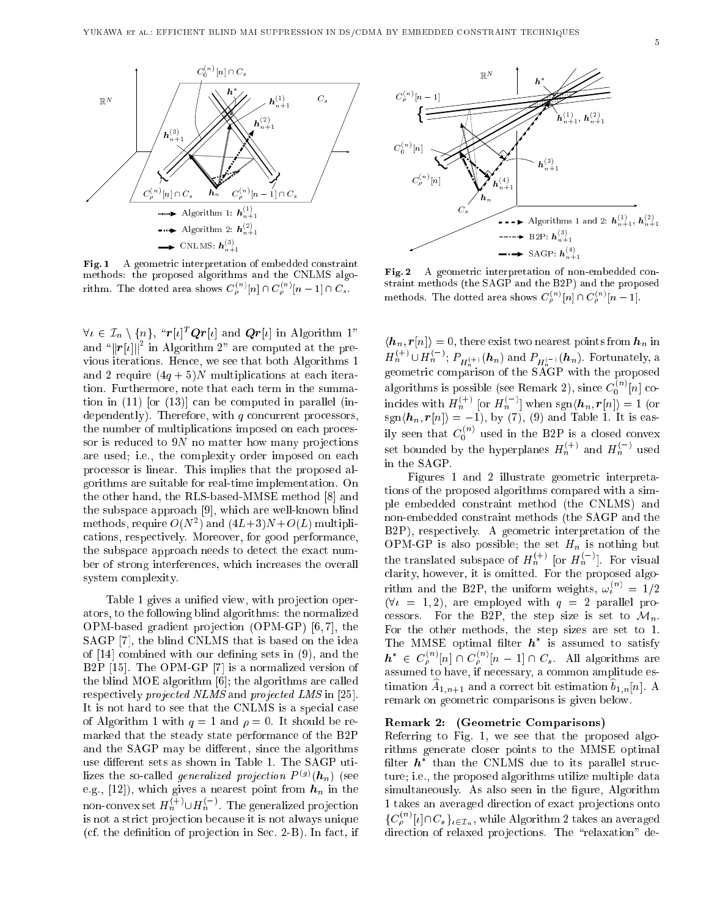

Fig. 1 A geometric interpretation of embedded constraint methods: the proposed algorithms and the CNLMS algorithm. The dotted area shows  $C_{\rho}^s$  '[n]  $\cap C_{\rho}^s$ '[n  $-$  1]  $\cap C_s$ .

 $\nabla \ell \in \mathcal{L}_n \setminus \{n\}, \quad \mathcal{T}[\ell] \cdot \mathcal{Q}\mathcal{T}[\ell]$  and  $\mathcal{Q}\mathcal{T}[\ell]$  in Algorithm 1" and " $||r[i]||^2$  in Algorithm 2" are computed at the previous iterations. Hen
e, we see that both Algorithms 1 and 2 require  $(4q + 5)N$  multiplications at each iteration. Furthermore, note that each term in the summation in  $(11)$  [or  $(13)$ ] can be computed in parallel (independently). Therefore, with  $q$  concurrent processors, the number of multiplications imposed on each processor is reduced to  $9N$  no matter how many projections are used; i.e., the omplexity order imposed on ea
h pro
essor is linear. This implies that the proposed algorithms are suitable for real-time implementation. On the other hand, the RLS-based-MMSE method [8] and the subspace approach [9], which are well-known blind methods, require  $O(N^2)$  and  $(4L+3)N+O(L)$  multipliations, respe
tively. Moreover, for good performan
e, the subspa
e approa
h needs to dete
t the exa
t number of strong interferen
es, whi
h in
reases the overall system omplexity.

Table 1 gives a unified view, with projection operators, to the following blind algorithms: the normalized OPM-based gradient projection  $(OPM-GP)$  [6,7], the SAGP [7], the blind CNLMS that is based on the idea of  $[14]$  combined with our defining sets in  $(9)$ , and the B2P  $[15]$ . The OPM-GP  $[7]$  is a normalized version of the blind MOE algorithm  $[6]$ ; the algorithms are called respectively *projected NLMS* and *projected LMS* in [25]. It is not hard to see that the CNLMS is a special case of Algorithm 1 with  $q = 1$  and  $\rho = 0$ . It should be remarked that the steady state performan
e of the B2P and the SAGP may be different, since the algorithms use different sets as shown in Table 1. The SAGP utilizes the so-called *generalized projection*  $P^{(g)}(\boldsymbol{h}_n)$  (see e.g., [12]), which gives a nearest point from  $h_n$  in the non-convex set  $H_n^{(+)} \cup H_n^{(-)}$ . The generalized projection is not a strict projection because it is not always unique (cf. the definition of projection in Sec. 2-B). In fact, if

Fig. 2 A geometric interpretation of non-embedded constraint methods (the SAGP and the B2P) and the proposed methods. The dotted area shows  $C_0^{n'}[n] \cap C_0^{n'}[n-1].$ 

 $\begin{aligned} \langle \boldsymbol{h}_n, \boldsymbol{r}[n] \rangle &= 0, \text{ there exist two nearest points from } \boldsymbol{h}_n \text{ in } \\ H_n^{(+)} \cup H_n^{(-)}; \, P_{H_n^{(+)}}(\boldsymbol{h}_n) \text{ and } P_{H_n^{(-)}}(\boldsymbol{h}_n). \text{ Fortunately, a } \end{aligned}$ geometri omparison of the SAGP with the proposed algorithms is possible (see Remark 2), since  $C_0^{(n)}[n]$  coincides with  $H_n^{(+)}$  [or  $H_n^{(-)}$ ] when sgn $\langle \boldsymbol{h}_n, \boldsymbol{r}[n] \rangle = 1$  (or  $\text{sgn}(\bm{n}_n, \bm{r}|n|) = -1$ ), by (7), (9) and Table 1. It is easily seen that  $C_0^{(n)}$  used in the B2P is a closed convex<br>set bounded by the hyperplanes  $H_n^{(+)}$  and  $H_n^{(-)}$  used in the SAGP.

Figures 1 and 2 illustrate geometri interpretations of the proposed algorithms ompared with a simple embedded onstraint method (the CNLMS) and non-embedded onstraint methods (the SAGP and the B2P), respectively. A geometric interpretation of the OPM-GP is also possible; the set  $H_n$  is nothing but the translated subspace of  $H_n^{(+)}$  [or  $H_n^{(-)}$ ]. For visual clarity, however, it is omitted. For the proposed algorithm and the B2P, the uniform weights,  $\omega_t^{(n)} = 1/2$  $(\forall i = 1, 2)$ , are employed with  $q = 2$  parallel processors. For the B2P, the step size is set to  $\mathcal{M}_n$ . For the other methods, the step sizes are set to 1. I ne MMSE optimal filter  $n$  is assumed to satisfy  $\mathbf{h}^* \in C^{(n)}_{\rho}[n] \cap C^{(n)}_{\rho}[n-1] \cap C_s$ . All algorithms are assumed to have, if ne
essary, a ommon amplitude estimation  $A_{1,n+1}$  and a correct bit estimation  $b_{1,n}[n]$ . A remark on geometric comparisons is given below.

#### Remark 2: (Geometri Comparisons)

Referring to Fig. 1, we see that the proposed algorithms generate loser points to the MMSE optimal filter  $\bm{n}$  –than the CNLMS due to its parallel structure; i.e., the proposed algorithms utilize multiple data simultaneously. As also seen in the figure, Algorithm 1 takes an averaged direction of exact projections onto  $\{C^{(n)}_\rho[\iota]\cap C_s\}_{\iota\in\mathcal{I}_n},$  while Algorithm 2 takes an averaged direction of relaxed projections. The "relaxation" de-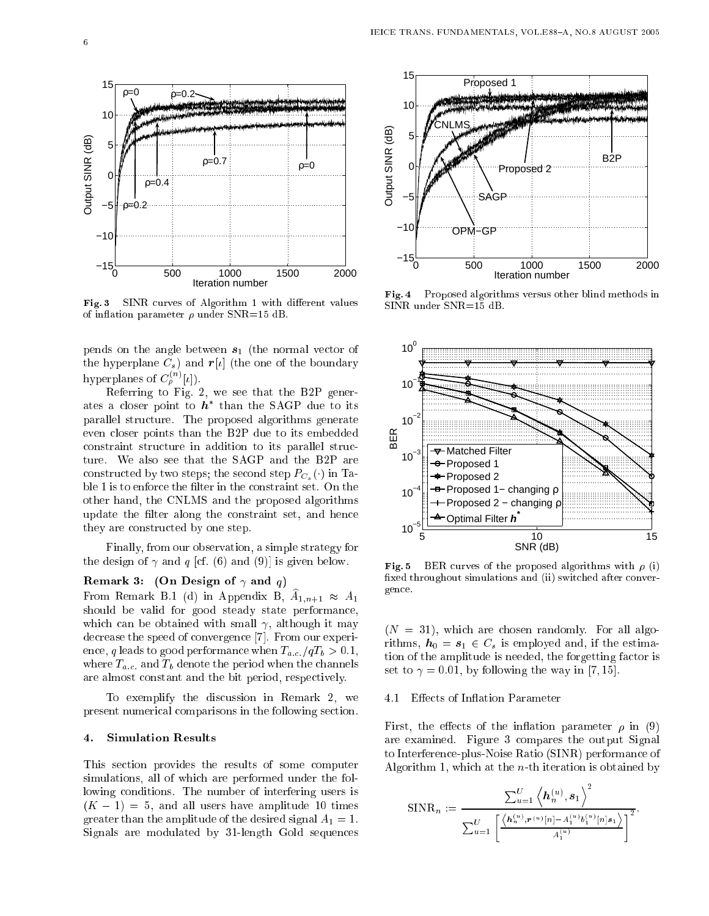

Fig. 3 SINR curves of Algorithm 1 with different values of inflation parameter  $\rho$  under SNR=15 dB.

pends on the angle between  $s_1$  (the normal vector of the hyperplane  $C_s$ ) and  $r[t]$  (the one of the boundary hyperplanes of  $C_{\rho}^{(n)}[\iota]).$ 

Referring to Fig. 2, we see that the B2P generates a closer point to  $\boldsymbol{n}$  than the SAGP due to its parallel stru
ture. The proposed algorithms generate even loser points than the B2P due to its embedded constraint structure in addition to its parallel structure. We also see that the SAGP and the B2P are constructed by two steps; the second step  $P_{C_s}(\cdot)$  in Table 1 is to enforce the filter in the constraint set. On the other hand, the CNLMS and the proposed algorithms update the filter along the constraint set, and hence they are constructed by one step.

Finally, from our observation, a simple strategy for the design of  $\gamma$  and q [cf. (6) and (9)] is given below.

### Remark 3: (On Design of  $\gamma$  and  $q$ )

From Remark B.1 (d) in Appendix B,  $A_{1,n+1} \approx A_1$ should be valid for good steady state performan
e, which can be obtained with small  $\gamma$ , although it may decrease the speed of convergence [7]. From our experience, q leads to good performance when  $T_{a.c.}/qT_b > 0.1$ , where  $T_{a,c}$  and  $T_b$  denote the period when the channels are almost onstant and the bit period, respe
tively.

To exemplify the dis
ussion in Remark 2, we present numerical comparisons in the following section.

#### 4. Simulation Results

This se
tion provides the results of some omputer simulations, all of whi
h are performed under the following conditions. The number of interfering users is  $(K - 1) = 5$ , and all users have amplitude 10 times greater than the amplitude of the desired signal  $A_1 = 1$ . Signals are modulated by 31-length Gold sequen
es



Fig. 4 Proposed algorithms versus other blind methods in SINR under SNR=15 dB.



Fig. 5 BER curves of the proposed algorithms with  $\rho$  (i) fixed throughout simulations and (ii) switched after convergen
e.

 $(N = 31)$ , which are chosen randomly. For all algorithms,  $h_0 = s_1 \in C_s$  is employed and, if the estimation of the amplitude is needed, the forgetting factor is set to  $\gamma = 0.01$ , by following the way in [7, 15].

#### 4.1 Effects of Inflation Parameter

First, the effects of the inflation parameter  $\rho$  in (9) are examined. Figure 3 ompares the output Signal to Interferen
e-plus-Noise Ratio (SINR) performan
e of Algorithm 1, which at the  $n$ -th iteration is obtained by

$$
\text{SINR}_{n} := \frac{\sum_{u=1}^{U} \left\langle \mathbf{h}_{n}^{(u)}, \mathbf{s}_{1} \right\rangle^{2}}{\sum_{u=1}^{U} \left[ \frac{\left\langle \mathbf{h}_{n}^{(u)}, \mathbf{r}^{(u)}[n] - A_{1}^{(u)} b_{1}^{(u)}[n] \mathbf{s}_{1} \right\rangle}{A_{1}^{(u)}} \right]^{2}}.
$$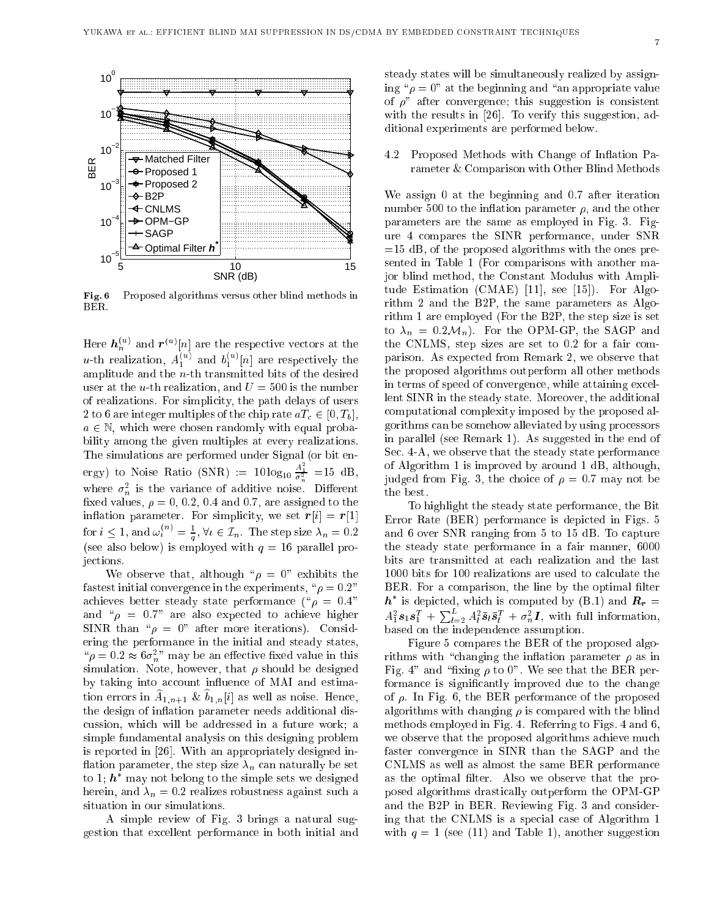

Fig. 6 Proposed algorithms versus other blind methods in BER.

Here  $\boldsymbol{h}_n^{(u)}$  and  $\boldsymbol{r}^{(u)}[n]$  are the respective vectors at the u-th realization,  $A_1^{(u)}$  and  $b_1^{(u)}[n]$  are respectively the amplitude and the n-th transmitted bits of the desired user at the *u*-th realization, and  $U = 500$  is the number of realizations. For simplicity, the path delays of users 2 to 6 are integer multiples of the chip rate  $aT_c \in [0, T_b]$ ,  $a \in \mathbb{N}$ , which were chosen randomly with equal probability among the given multiples at every realizations. The simulations are performed under Signal (or bit energy) to Noise Ratio (SNR) :=  $10 \log_{10} \frac{A_1}{\sigma_n^2}$  =15 dB, where  $\sigma_n^2$  is the variance of additive noise. Different fixed values,  $\rho = 0$ , 0.2, 0.4 and 0.7, are assigned to the inflation parameter. For simplicity, we set  $r[i] = r[1]$ for  $i \leq 1$ , and  $\omega_{\iota}^{(n)} = \frac{1}{q}$ ,  $\forall \iota \in \mathcal{I}_n$ . The step size  $\lambda_n = 0.2$ (see also below) is employed with  $q = 16$  parallel proje
tions.

We observe that, although " $\rho = 0$ " exhibits the fastest initial convergence in the experiments, " $\rho = 0.2"$ achieves better steady state performance ( $\degree \rho = 0.4"$ and " $\rho = 0.7$ " are also expected to achieve higher SINR than " $\rho = 0$ " after more iterations). Considering the performan
e in the initial and steady states,  $\mu^{\mu} \rho = 0.2 \approx 6\sigma_n^2$ " may be an effective fixed value in this simulation. Note, however, that  $\rho$  should be designed by taking into account influence of MAI and estimation errors in  $A_{1,n+1}$  &  $b_{1,n}[i]$  as well as noise. Hence, the design of inflation parameter needs additional disussion, whi
h will be addressed in a future work; a simple fundamental analysis on this designing problem is reported in [26]. With an appropriately designed inflation parameter, the step size  $\lambda_n$  can naturally be set to 1;  $\boldsymbol{h}$  –may not belong to the simple sets we designed herein, and  $\lambda_n = 0.2$  realizes robustness against such a situation in our simulations.

A simple review of Fig. 3 brings a natural suggestion that ex
ellent performan
e in both initial and steady states will be simultaneously realized by assigning " $\rho = 0$ " at the beginning and "an appropriate value" of  $\rho$ " after convergence; this suggestion is consistent with the results in  $[26]$ . To verify this suggestion, additional experiments are performed below.

4.2 Proposed Methods with Change of Inflation Parameter & Comparison with Other Blind Methods

We assign 0 at the beginning and 0.7 after iteration number 500 to the inflation parameter  $\rho$ , and the other parameters are the same as employed in Fig. 3. Figure 4 ompares the SINR performan
e, under SNR  $=15$  dB, of the proposed algorithms with the ones presented in Table 1 (For omparisons with another major blind method, the Constant Modulus with Amplitude Estimation  $(CMAE)$  [11], see [15]). For Algorithm 2 and the B2P, the same parameters as Algorithm 1 are employed (For the B2P, the step size is set to  $\lambda_n = 0.2 \mathcal{M}_n$ . For the OPM-GP, the SAGP and the CNLMS, step sizes are set to 0.2 for a fair omparison. As expected from Remark 2, we observe that the proposed algorithms outperform all other methods in terms of speed of onvergen
e, while attaining ex
ellent SINR in the steady state. Moreover, the additional omputational omplexity imposed by the proposed algorithms an be somehow alleviated by using pro
essors in parallel (see Remark 1). As suggested in the end of Sec. 4-A, we observe that the steady state performance of Algorithm 1 is improved by around 1 dB, although, judged from Fig. 3, the choice of  $\rho = 0.7$  may not be the best.

To highlight the steady state performan
e, the Bit Error Rate (BER) performance is depicted in Figs. 5 and 6 over SNR ranging from 5 to 15 dB. To apture the steady state performan
e in a fair manner, 6000 bits are transmitted at ea
h realization and the last 1000 bits for 100 realizations are used to calculate the BER. For a comparison, the line by the optimal filter  $\bm{n}$  – is depicted, which is computed by (B.1) and  $\bm{R_{r}}=$  $A_1^2 s_1 s_1^T + \sum_{l=2}^L A_l^2 \bar{s}_l \bar{s}_l^T + \sigma_n^2 I$ , with full information, based on the independen
e assumption.

Figure 5 ompares the BER of the proposed algorithms with "changing the inflation parameter  $\rho$  as in Fig. 4" and "fixing  $\rho$  to 0". We see that the BER performance is significantly improved due to the change of  $\rho$ . In Fig. 6, the BER performance of the proposed algorithms with changing  $\rho$  is compared with the blind methods employed in Fig. 4. Referring to Figs. 4 and 6, we observe that the proposed algorithms achieve much faster onvergen
e in SINR than the SAGP and the CNLMS as well as almost the same BER performan
e as the optimal filter. Also we observe that the proposed algorithms drasti
ally outperform the OPM-GP and the B2P in BER. Reviewing Fig. 3 and onsidering that the CNLMS is a special case of Algorithm 1 with  $q = 1$  (see (11) and Table 1), another suggestion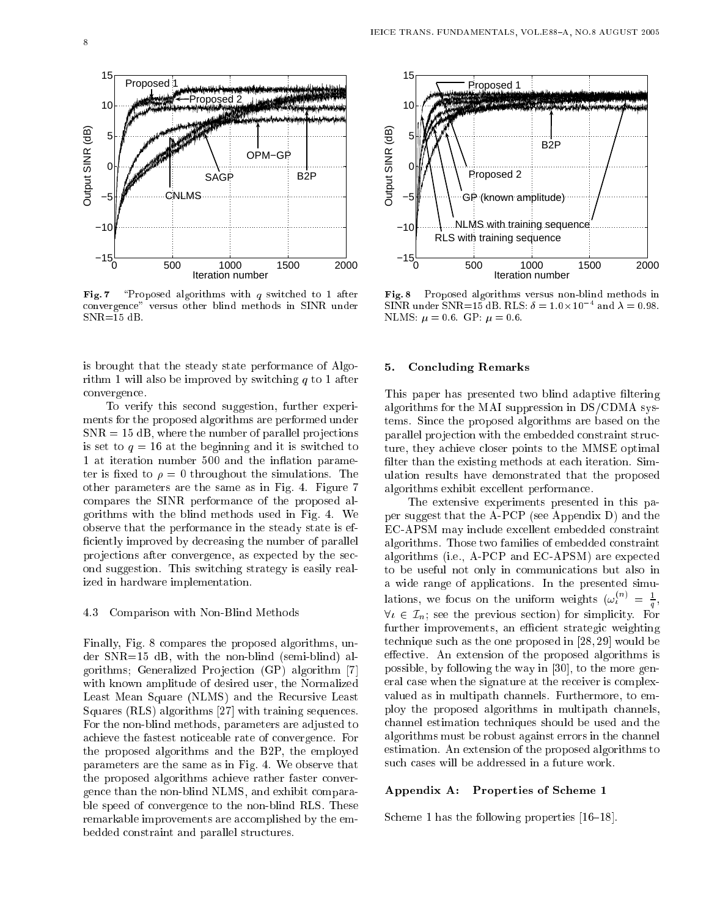

Fig. 7  $\degree$  Proposed algorithms with q switched to 1 after onvergen
e" versus other blind methods in SINR under  $SNR=15$  dB.

is brought that the steady state performan
e of Algorithm 1 will also be improved by switching  $q$  to 1 after onvergen
e.

To verify this se
ond suggestion, further experiments for the proposed algorithms are performed under  $SNR = 15$  dB, where the number of parallel projections is set to  $q = 16$  at the beginning and it is switched to 1 at iteration number 500 and the inflation parameter is fixed to  $\rho = 0$  throughout the simulations. The other parameters are the same as in Fig. 4. Figure 7 ompares the SINR performan
e of the proposed algorithms with the blind methods used in Fig. 4. We observe that the performan
e in the steady state is ef ficiently improved by decreasing the number of parallel projections after convergence, as expected by the second suggestion. This swit
hing strategy is easily realized in hardware implementation.

#### 4.3 Comparison with Non-Blind Methods

Finally, Fig. 8 ompares the proposed algorithms, under SNR=15 dB, with the non-blind (semi-blind) algorithms; Generalized Projection (GP) algorithm [7] with known amplitude of desired user, the Normalized Least Mean Square (NLMS) and the Recursive Least Squares  $(RLS)$  algorithms [27] with training sequences. For the non-blind methods, parameters are adjusted to a
hieve the fastest noti
eable rate of onvergen
e. For the proposed algorithms and the B2P, the employed parameters are the same as in Fig. 4. We observe that the proposed algorithms a
hieve rather faster onvergen
e than the non-blind NLMS, and exhibit omparable speed of onvergen
e to the non-blind RLS. These remarkable improvements are accomplished by the embedded onstraint and parallel stru
tures.



Fig. 8 Proposed algorithms versus non-blind methods in SINR under SNR=15 dB. RLS:  $\theta = 1.0 \times 10^{4}$  and  $\lambda = 0.98$ . NLMS:  $\mu = 0.6$ . GP:  $\mu = 0.6$ .

#### 5. Con
luding Remarks

This paper has presented two blind adaptive filtering algorithms for the MAI suppression in DS/CDMA systems. Sin
e the proposed algorithms are based on the parallel pro je
tion with the embedded onstraint stru
 ture, they a
hieve loser points to the MMSE optimal filter than the existing methods at each iteration. Simulation results have demonstrated that the proposed algorithms exhibit ex
ellent performan
e.

The extensive experiments presented in this paper suggest that the A-PCP (see Appendix D) and the EC-APSM may in
lude ex
ellent embedded onstraint algorithms. Those two families of embedded onstraint algorithms (i.e., A-PCP and EC-APSM) are expe
ted to be useful not only in ommuni
ations but also in a wide range of appli
ations. In the presented simulations, we focus on the uniform weights  $(\omega_i^{(n)} = \frac{1}{n})$  $\mathbf{r}$  $\forall i \in \mathcal{I}_n$ ; see the previous section) for simplicity. For further improvements, an efficient strategic weighting technique such as the one proposed in  $[28, 29]$  would be effective. An extension of the proposed algorithms is possible, by following the way in  $[30]$ , to the more general case when the signature at the receiver is complexvalued as in multipath hannels. Furthermore, to employ the proposed algorithms in multipath hannels, hannel estimation te
hniques should be used and the algorithms must be robust against errors in the hannel estimation. An extension of the proposed algorithms to su
h ases will be addressed in a future work.

#### Appendix A: Properties of S
heme 1

Scheme 1 has the following properties  $[16-18]$ .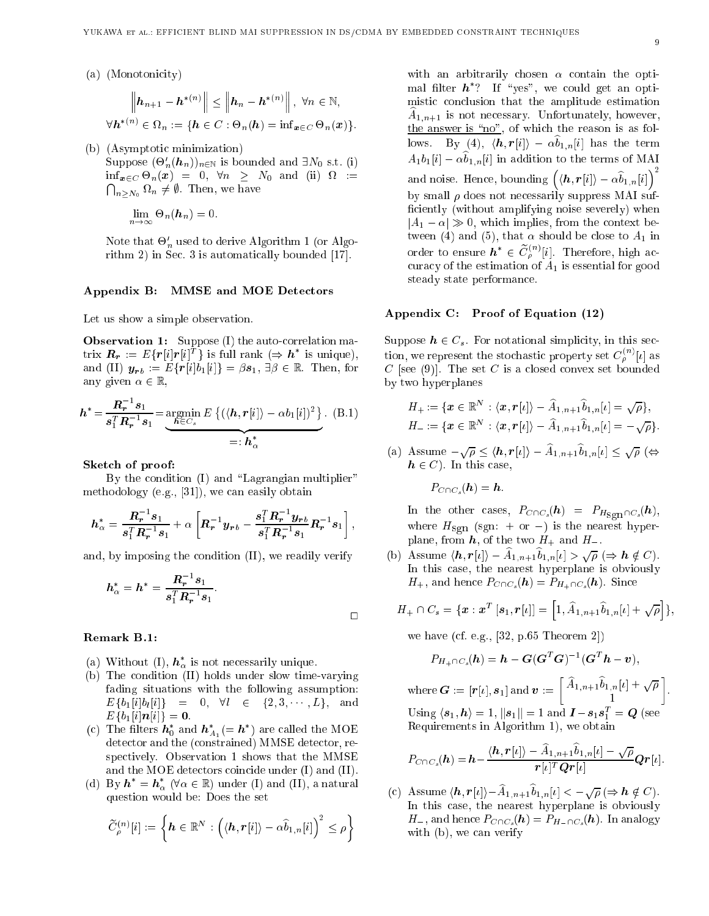(a) (Monotonicity)

$$
\left\|\mathbf{h}_{n+1}-\mathbf{h}^{*(n)}\right\| \leq \left\|\mathbf{h}_{n}-\mathbf{h}^{*(n)}\right\|, \ \forall n \in \mathbb{N},
$$

$$
\forall \mathbf{h}^{*(n)} \in \Omega_n := \{\mathbf{h} \in C : \Theta_n(\mathbf{h}) = \inf_{\mathbf{x} \in C} \Theta_n(\mathbf{x})\}.
$$

(b) (Asymptotic minimization)

Suppose  $(\Theta'_n(h_n))_{n\in\mathbb{N}}$  is bounded and  $\exists N_0$  s.t. (i)  $\inf_{\bm{x}\in C} \Theta_n(\bm{x}) = 0, \forall n \geq N_0 \text{ and } (ii) \Omega =$  $\bigcap_{n>N_0} \Omega_n \neq \emptyset$ . Then, we have

$$
\lim_{n\to\infty}\Theta_n(\mathbf{h}_n)=0.
$$

Note that  $\sigma_n$  used to derive Algorithm 1 (or Algo $rithm 2)$  in Sec. 3 is automatically bounded [17].

#### Appendix B: MMSE and MOE Dete
tors

Let us show a simple observation.

Observation 1: Suppose (I) the auto-correlation matrix  $\bm{R}_{\bm{r}} := E\{r|i|r|i|^T\}$  is full rank  $(\Rightarrow \bm{h}^*$  is unique), and (II)  $y_{rb} := E\{r[i]b_1[i]\} = \beta s_1, \exists \beta \in \mathbb{R}$ . Then, for any given  $\alpha \in \mathbb{R}$ ,

$$
\boldsymbol{h}^* = \frac{\boldsymbol{R}_r^{-1} s_1}{s_1^T \boldsymbol{R}_r^{-1} s_1} = \underbrace{\operatorname*{argmin}}_{\boldsymbol{h} \in C_s} E \left\{ (\langle \boldsymbol{h}, \boldsymbol{r}[i] \rangle - \alpha b_1[i])^2 \right\}. \tag{B.1}
$$
\n
$$
= \boldsymbol{h}_\alpha^*
$$

#### Sket
h of proof:

By the condition (I) and "Lagrangian multiplier" methodology (e.g.,  $[31]$ ), we can easily obtain

$$
h_{\alpha}^* = \frac{R_r^{-1} s_1}{s_1^T R_r^{-1} s_1} + \alpha \left[ R_r^{-1} y_{rb} - \frac{s_1^T R_r^{-1} y_{rb}}{s_1^T R_r^{-1} s_1} R_r^{-1} s_1 \right],
$$

and, by imposing the ondition (II), we readily verify

$$
h_{\alpha}^* = h^* = \frac{R_r^{-1} s_1}{s_1^T R_r^{-1} s_1}.
$$

#### Remark B.1:

- (a) Without (I),  $h_{\alpha}$  is not necessarily unique.
- (b) The ondition (II) holds under slow time-varying fading situations with the following assumption:  $E\{b_1[i]b_l[i]\} = 0, \forall l \in \{2, 3, \dots, L\}, \text{and}$  $E\{b_1[i|n[i]\} = 0.$
- (c) The filters  $\bm{n}_0$  and  $\bm{n}_{A_1} (= \bm{n}_0)$  are called the MOE detector and the (constrained) MMSE detector, respe
tively. Observation 1 shows that the MMSE and the MOE detectors coincide under (I) and (II).
- (d) By  $n = n_{\alpha}$  ( $\forall \alpha \in \mathbb{R}$ ) under (I) and (II), a natural question would be: Does the set

$$
\widetilde{C}^{(n)}_{\rho}[i]:=\left\{\pmb{h}\in\mathbb{R}^{N}:\Big(\langle\pmb{h},\pmb{r}[i]\rangle-\alpha\widehat{b}_{1,n}[i]\Big)^{2}\leq\rho\right\}
$$

with an arbitrarily chosen  $\alpha$  contain the optimal filter  $n$  : The vest , we could get an optimistic conclusion that the amplitude estimation  $A_{1,n+1}$  is not necessary. Unfortunately, however, the answer is " $no$ ", of which the reason is as follows. By (4),  $\langle h, r[i] \rangle - \alpha \hat{b}_{1,n}[i]$  has the term  $A_1b_1[i] - \alpha \widehat{b}_{1,n}[i]$  in addition to the terms of MAI and noise. Hence, bounding  $\left( \langle \boldsymbol{h}, \boldsymbol{r}[i] \rangle - \alpha \widehat{b}_{1,n}[i] \right)^2$ by small  $\rho$  does not necessarily suppress MAI sufficiently (without amplifying noise severely) when  $|A_1 - \alpha| \gg 0$ , which implies, from the context between (4) and (5), that  $\alpha$  should be close to  $A_1$  in order to ensure  $\boldsymbol{h}^* \in \widetilde{C}^{(n)}_{o}[i]$ . Therefore, high accuracy of the estimation of  $A_1$  is essential for good steady state performan
e.

#### Appendix C: Proof of Equation (12)

Suppose  $h \in C_s$ . For notational simplicity, in this section, we represent the stochastic property set  $C^{(n)}_{\rho}[\iota]$  as C [see (9)]. The set C is a closed convex set bounded by two hyperplanes

$$
H_+:=\{\boldsymbol{x}\in\mathbb{R}^N:\langle\boldsymbol{x},\boldsymbol{r}[i]\rangle-\widehat{A}_{1,n+1}\widehat{b}_{1,n}[i]=\sqrt{\rho}\},\\ H_-:=\{\boldsymbol{x}\in\mathbb{R}^N:\langle\boldsymbol{x},\boldsymbol{r}[i]\rangle-\widehat{A}_{1,n+1}\widehat{b}_{1,n}[i]=-\sqrt{\rho}\}.
$$

(a) Assume  $-\sqrt{\rho} \le \langle h, r[\iota] \rangle - A_{1,n+1} b_{1,n}[\iota] \le \sqrt{\rho}$  ( $\Leftrightarrow$  $h \in C$ ). In this case,

$$
P_{C\cap C_s}(\boldsymbol{h})=\boldsymbol{h}.
$$

 $\Box$ 

In the other cases,  $P_{C\cap C_s}(h) = P_{H_{\text{Sgn}}\cap C_s}(h)$ , where  $H_{\text{sgn}}$  (sgn: + or -) is the nearest hyperplane, from  $h$ , of the two  $H_+$  and  $H_-$ .

(b) Assume  $\langle \boldsymbol{h}, \boldsymbol{r}[i] \rangle - A_{1,n+1} b_{1,n}[i] > \sqrt{\rho} \ (\Rightarrow \boldsymbol{h} \notin C).$ In this ase, the nearest hyperplane is obviously  $H_+$ , and hence  $P_{C\cap C_s}(\boldsymbol{h}) = P_{H_+\cap C_s}(\boldsymbol{h})$ . Since

$$
H_+\cap C_s = \{\mathbf{x} : \mathbf{x}^T [s_1, \mathbf{r}[l]] = \left[1, \widehat{A}_{1,n+1}\widehat{b}_{1,n}[l] + \sqrt{\rho}\right]\},\
$$

we have (cf. e.g.,  $[32, p.65$  Theorem 2])

$$
P_{H_+\cap C_s}(h) = h - G(G^T G)^{-1} (G^T h - v),
$$

 $\text{where}\, \bm{G} := [\bm{r}[\iota], \bm{s}_1] \text{ and } \bm{v} := \left\lceil \widehat{A}_{1,\bm{n+1}} \widehat{b}_{1,\bm{n}}[\iota] + \sqrt{\rho} \right\rceil$ -Using  $\langle s_1, h \rangle = 1$ ,  $\|s_1\| = 1$  and  $I - s_1 s_1^{\dagger} = Q$  (see Requirements in Algorithm 1), we obtain

$$
P_{C\cap C_s}(\boldsymbol{h})=\boldsymbol{h}-\frac{\langle \boldsymbol{h}, \boldsymbol{r}[\iota]\rangle-\widehat{A}_{1,n+1}\widehat{b}_{1,n}[\iota]-\sqrt{\rho}}{\boldsymbol{r}[\iota]^T\boldsymbol{Q}\boldsymbol{r}[\iota]}\boldsymbol{Q}\boldsymbol{r}[\iota].
$$

(c) Assume  $\langle h, r[\iota] \rangle - A_{1,n+1} b_{1,n}[\iota] < -\sqrt{\rho} \ (\Rightarrow h \notin C).$ In this case, the nearest hyperplane is obviously  $H_$ , and hence  $P_{C\cap C_s}$  (h) =  $P_{H_-\cap C_s}(h)$ . In analogy with (b), we an verify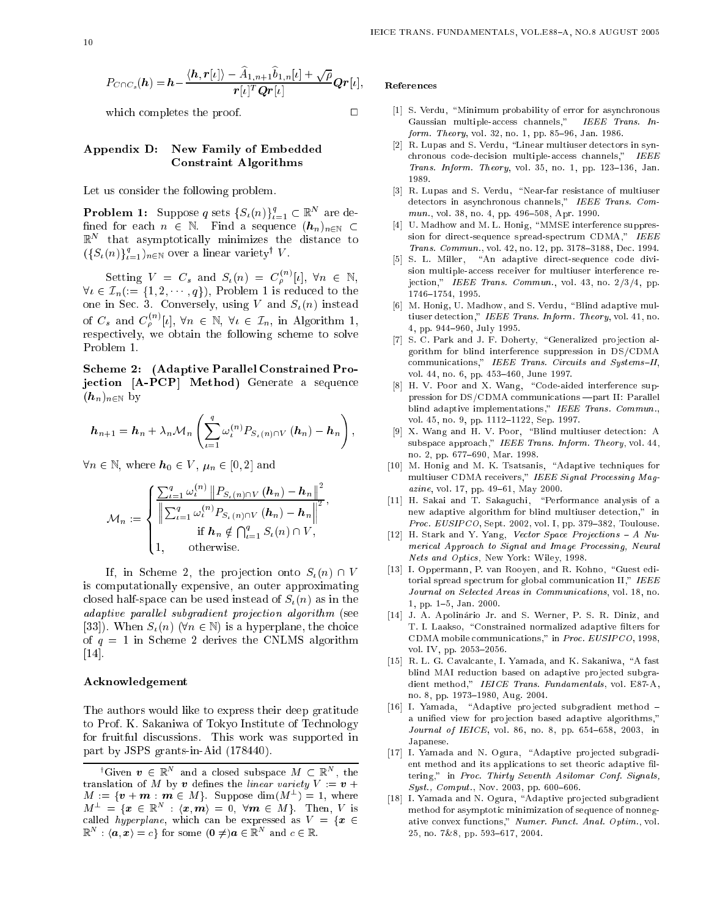$$
P_{C\cap C_s}(\boldsymbol{h})=\boldsymbol{h}-\frac{\langle \boldsymbol{h}, \boldsymbol{r}[\iota]\rangle-\widehat{A}_{1,n+1}\widehat{b}_{1,n}[\iota]+\sqrt{\rho}}{\boldsymbol{r}[\iota]^T\boldsymbol{Q}\boldsymbol{r}[\iota]}\boldsymbol{Q}\boldsymbol{r}[\iota],
$$

which completes the proof.  $\Box$ 

#### Appendix D: New Family of Embedded Constraint Algorithms

Let us onsider the following problem.

**Problem 1:** Suppose q sets  $\{S_\iota(n)\}_{\iota=1}^q \subset \mathbb{R}^N$  are defined for each  $n \in \mathbb{N}$ . Find a sequence  $(h_n)_{n \in \mathbb{N}} \subset$  $\mathbb R$  – that asymptotically minimizes the distance to  $(\{S_{\iota}(n)\}_{\iota=1}^q)_{n\in\mathbb{N}}$  over a linear variety<sup>†</sup> V.

Setting  $V = C_s$  and  $S_t(n) = C_e^{(n)}[t]$ ,  $\forall n \in \mathbb{N}$ ,  $\forall i \in \mathcal{L}_n := \{1, 2, \cdots, q\}$ , Problem 1 is reduced to the one in Sec. 3. Conversely, using V and  $S_t(n)$  instead of  $C_s$  and  $C_{\rho}^{(n)}[\iota], \forall n \in \mathbb{N}, \forall \iota \in \mathcal{I}_n, \text{ in Algorithm 1,}$ respe
tively, we obtain the following s
heme to solve Problem 1.

S
heme 2: (Adaptive Parallel Constrained Projection [A-PCP] Method) Generate a sequence  $(h_n)_{n\in\mathbb{N}}$  by

$$
h_{n+1} = h_n + \lambda_n \mathcal{M}_n \left( \sum_{\iota=1}^q \omega_{\iota}^{(n)} P_{S_{\iota}(n) \cap V}(h_n) - h_n \right),
$$

 $\forall n \in \mathbb{N}$ , where  $h_0 \in V$ ,  $\mu_n \in [0, 2]$  and

$$
\mathcal{M}_n := \begin{cases} \frac{\sum_{\iota=1}^q \omega_{\iota}^{(n)} \| P_{S_{\iota}(n) \cap V} (h_n) - h_n \|^2}{\left\| \sum_{\iota=1}^q \omega_{\iota}^{(n)} P_{S_{\iota}(n) \cap V} (h_n) - h_n \right\|^2}, \\qquad \qquad \text{if } h_n \notin \bigcap_{\iota=1}^q S_{\iota}(n) \cap V, \\qquad \qquad 1, \qquad \text{otherwise.} \end{cases}
$$

If, in Scheme 2, the projection onto  $S_{\iota}(n) \cap V$ is omputationally expensive, an outer approximating closed half-space can be used instead of  $S_{\iota}(n)$  as in the adaptive parallel subgradient projection algorithm (see [33]). When  $S_{\iota}(n)$  ( $\forall n \in \mathbb{N}$ ) is a hyperplane, the choice of  $q = 1$  in Scheme 2 derives the CNLMS algorithm  $[14]$ .

#### A
knowledgement

The authors would like to express their deep gratitude to Prof. K. Sakaniwa of Tokyo Institute of Te
hnology for fruitful dis
ussions. This work was supported in part by JSPS grants-in-Aid (178440).

#### Referen
es

- [1] S. Verdu, "Minimum probability of error for asynchronous Gaussian multiple-access channels," IEEE Trans. In $form. Theory, vol. 32, no. 1, pp. 85–96, Jan. 1986.$
- [2] R. Lupas and S. Verdu, "Linear multiuser detectors in synchronous code-decision multiple-access channels," IEEE Trans. Inform. Theory, vol. 35, no. 1, pp.  $123-136$ , Jan. 1989.
- [3] R. Lupas and S. Verdu, "Near-far resistance of multiuser detectors in asynchronous channels," IEEE Trans. Com $mun., vol. 38, no. 4, pp. 496-508, Apr. 1990.$
- [4] U. Madhow and M. L. Honig, "MMSE interference suppression for direct-sequence spread-spectrum CDMA," IEEE Trans. Commun., vol. 42, no. 12, pp. 3178-3188, Dec. 1994.
- [5] S. L. Miller, "An adaptive direct-sequence code division multiple-access receiver for multiuser interference rejection," IEEE Trans. Commun., vol. 43, no. 2/3/4, pp. 1746-1754. 1995. 1746{1754, 1995.
- [6] M. Honig, U. Madhow, and S. Verdu, "Blind adaptive multiuser detection," IEEE Trans. Inform. Theory, vol. 41, no. 4, pp. 944-960, July 1995.
- [7] S. C. Park and J. F. Doherty, "Generalized projection algorithm for blind interferen
e suppression in DS/CDMA communications," IEEE Trans. Circuits and Systems-II, vol. 44, no. 6, pp. 453-460, June 1997.
- [8] H. V. Poor and X. Wang, "Code-aided interference suppression for DS/CDMA communications - part II: Parallel blind adaptive implementations," IEEE Trans. Commun., vol. 45, no. 9, pp. 1112-1122, Sep. 1997.
- [9] X. Wang and H. V. Poor, "Blind multiuser detection: A subspace approach," IEEE Trans. Inform. Theory, vol. 44, no. 2, pp. 677-690, Mar. 1998.
- [10] M. Honig and M. K. Tsatsanis, "Adaptive techniques for multiuser CDMA receivers," IEEE Signal Processing Magazine, vol. 17, pp. 49-61, May 2000.
- [11] H. Sakai and T. Sakaguchi, "Performance analysis of a new adaptive algorithm for blind multiuser detection," in Proc.  $EUSIPCO$ , Sept. 2002, vol. I, pp. 379-382, Toulouse.
- [12] H. Stark and Y. Yang, Vector Space Projections A Numerical Approach to Signal and Image Processing, Neural Nets and Opti
s, New York: Wiley, 1998.
- [13] I. Oppermann, P. van Rooyen, and R. Kohno, "Guest editorial spread spectrum for global communication II," IEEE Journal on Selected Areas in Communications, vol. 18, no. 1, pp. 1-5, Jan. 2000.
- [14] J. A. Apolinário Jr. and S. Werner, P. S. R. Diniz, and T. I. Laakso, "Constrained normalized adaptive filters for CDMA mobile 
ommuni
ations," in Pro
. EUSIPCO, 1998, vol. IV, pp. 2053-2056.
- [15] R. L. G. Cavalcante, I. Yamada, and K. Sakaniwa, "A fast blind MAI reduction based on adaptive projected subgradient method," IEICE Trans. Fundamentals, vol. E87-A, no. 8, pp. 1973-1980, Aug. 2004.
- [16] I. Yamada, "Adaptive projected subgradient method a unified view for projection based adaptive algorithms," Journal of IEICE, vol. 86, no. 8, pp. 654-658, 2003, in Japanese. Japanese.
- [17] I. Yamada and N. Ogura, "Adaptive projected subgradient method and its applications to set theoric adaptive filtering," in Proc. Thirty Seventh Asilomar Conf. Signals,  $Syst., Comput., Nov. 2003, pp. 600-606.$
- [18] I. Yamada and N. Ogura, "Adaptive projected subgradient method for asymptotic minimization of sequence of nonnegative convex functions," Numer. Funct. Anal. Optim., vol. 25, no. 7&8, pp. 593-617, 2004.

<sup>&#</sup>x27;Given  $v \in \mathbb{R}^n$  and a closed subspace  $M \subset \mathbb{R}^n$ , the translation of M by v defines the *linear variety*  $V := v +$  $M := \{v + m : m \in M\}$ . Suppose dim $(M^-) = 1$ , where  $M^{-} = \{x \in \mathbb{R}^n : \langle x, m \rangle = 0, \forall m \in M\}$ . Then, V is called hyperplane, which can be expressed as  $V = \{x \in$  $\mathbb{R}^n : \langle a, x \rangle = c$  for some  $0 \neq a \in \mathbb{R}^n$  and  $c \in \mathbb{R}$ .